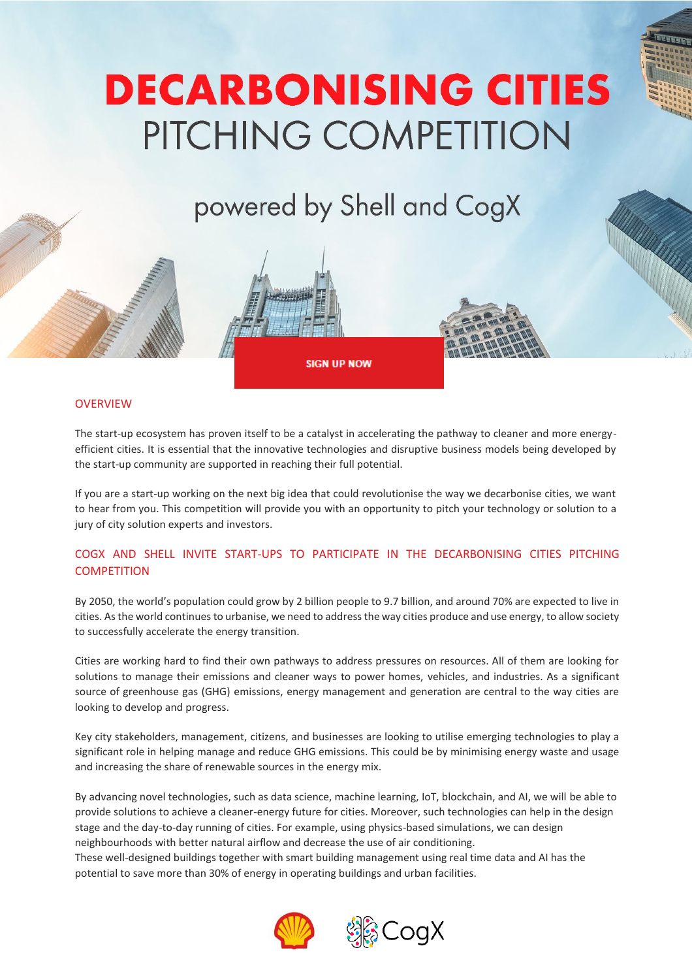# **DECARBONISING CITIES** PITCHING COMPETITION

powered by Shell and CogX



## **OVERVIEW**

The start-up ecosystem has proven itself to be a catalyst in accelerating the pathway to cleaner and more energyefficient cities. It is essential that the innovative technologies and disruptive business models being developed by the start-up community are supported in reaching their full potential.

If you are a start-up working on the next big idea that could revolutionise the way we decarbonise cities, we want to hear from you. This competition will provide you with an opportunity to pitch your technology or solution to a jury of city solution experts and investors.

# COGX AND SHELL INVITE START-UPS TO PARTICIPATE IN THE DECARBONISING CITIES PITCHING **COMPETITION**

By 2050, the world's population could grow by 2 billion people to 9.7 billion, and around 70% are expected to live in cities. As the world continues to urbanise, we need to address the way cities produce and use energy, to allow society to successfully accelerate the energy transition.

Cities are working hard to find their own pathways to address pressures on resources. All of them are looking for solutions to manage their emissions and cleaner ways to power homes, vehicles, and industries. As a significant source of greenhouse gas (GHG) emissions, energy management and generation are central to the way cities are looking to develop and progress.

Key city stakeholders, management, citizens, and businesses are looking to utilise emerging technologies to play a significant role in helping manage and reduce GHG emissions. This could be by minimising energy waste and usage and increasing the share of renewable sources in the energy mix.

By advancing novel technologies, such as data science, machine learning, IoT, blockchain, and AI, we will be able to provide solutions to achieve a cleaner-energy future for cities. Moreover, such technologies can help in the design stage and the day-to-day running of cities. For example, using physics-based simulations, we can design neighbourhoods with better natural airflow and decrease the use of air conditioning.

These well-designed buildings together with smart building management using real time data and AI has the potential to save more than 30% of energy in operating buildings and urban facilities.



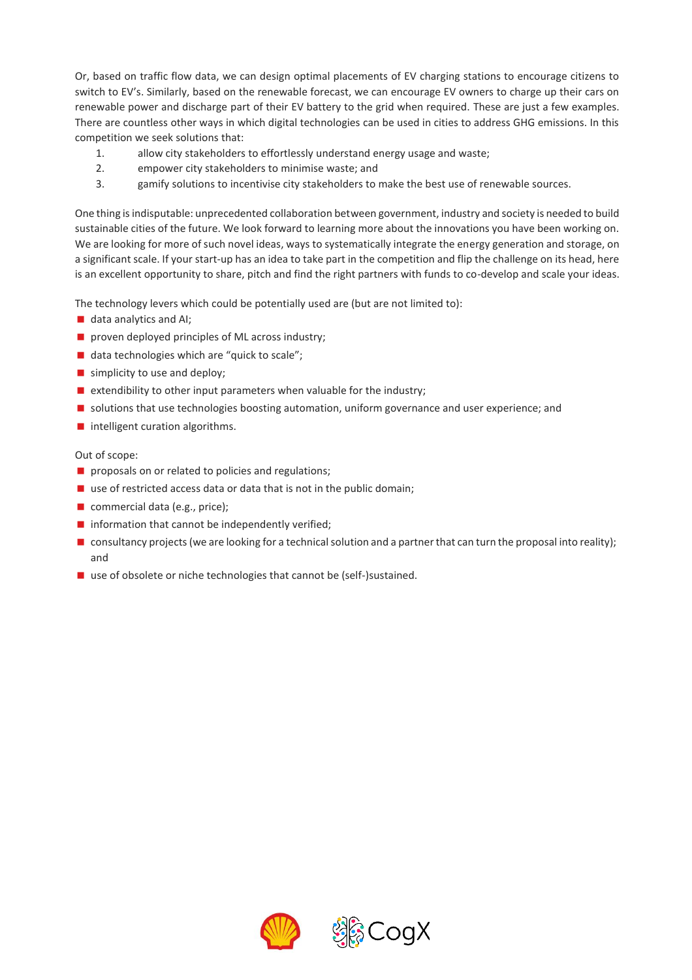Or, based on traffic flow data, we can design optimal placements of EV charging stations to encourage citizens to switch to EV's. Similarly, based on the renewable forecast, we can encourage EV owners to charge up their cars on renewable power and discharge part of their EV battery to the grid when required. These are just a few examples. There are countless other ways in which digital technologies can be used in cities to address GHG emissions. In this competition we seek solutions that:

- 1. allow city stakeholders to effortlessly understand energy usage and waste;
- 2. empower city stakeholders to minimise waste; and
- 3. gamify solutions to incentivise city stakeholders to make the best use of renewable sources.

One thing is indisputable: unprecedented collaboration between government, industry and society is needed to build sustainable cities of the future. We look forward to learning more about the innovations you have been working on. We are looking for more of such novel ideas, ways to systematically integrate the energy generation and storage, on a significant scale. If your start-up has an idea to take part in the competition and flip the challenge on its head, here is an excellent opportunity to share, pitch and find the right partners with funds to co-develop and scale your ideas.

The technology levers which could be potentially used are (but are not limited to):

- data analytics and AI;
- **P** proven deployed principles of ML across industry;
- data technologies which are "quick to scale";
- simplicity to use and deploy;
- $\blacksquare$  extendibility to other input parameters when valuable for the industry;
- **If** solutions that use technologies boosting automation, uniform governance and user experience; and
- **n** intelligent curation algorithms.

## Out of scope:

- **proposals on or related to policies and regulations;**
- $\blacksquare$  use of restricted access data or data that is not in the public domain;
- commercial data (e.g., price);
- $\blacksquare$  information that cannot be independently verified;
- consultancy projects (we are looking for a technical solution and a partner that can turn the proposal into reality); and
- use of obsolete or niche technologies that cannot be (self-)sustained.

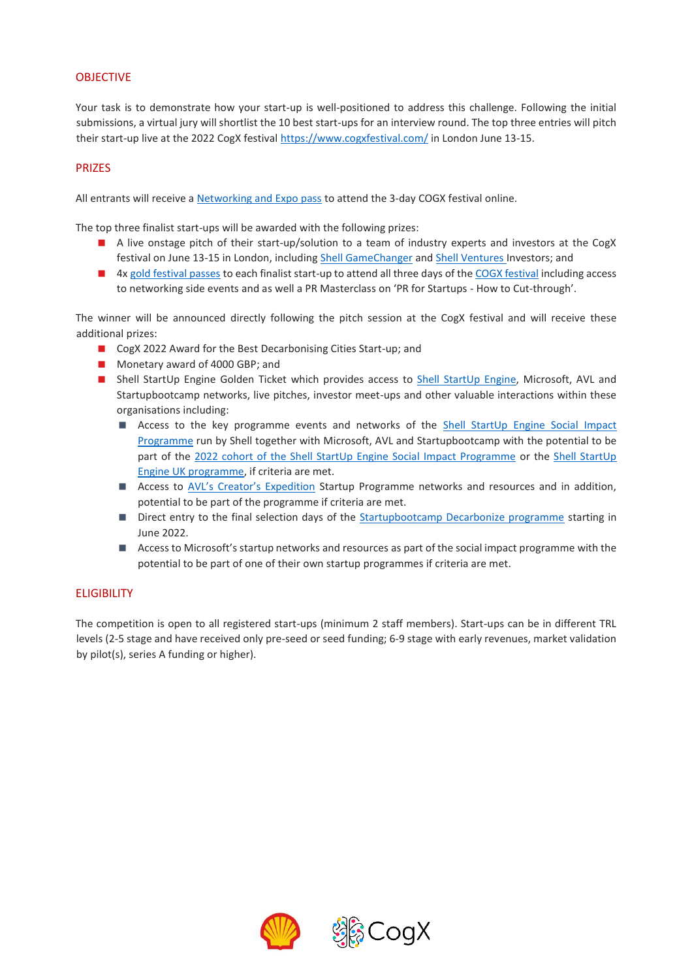# OBJECTIVE

Your task is to demonstrate how your start-up is well-positioned to address this challenge. Following the initial submissions, a virtual jury will shortlist the 10 best start-ups for an interview round. The top three entries will pitch their start-up live at the 2022 CogX festival<https://www.cogxfestival.com/> in London June 13-15.

## **PRIZES**

All entrants will receive a [Networking and Expo pass](https://www.cogxfestival.com/passes/networking-expo-pass) to attend the 3-day COGX festival online.

The top three finalist start-ups will be awarded with the following prizes:

- A live onstage pitch of their start-up/solution to a team of industry experts and investors at the CogX festival on June 13-15 in London, includin[g Shell GameChanger](https://www.shell.com/energy-and-innovation/entrepreneurs-and-start-ups/shell-gamechanger.html) an[d Shell Ventures](https://www.shell.com/energy-and-innovation/new-energies/shell-ventures.html) Investors; and
- 4x [gold festival passes](https://www.cogxfestival.com/passes/gold-pass) to each finalist start-up to attend all three days of th[e COGX festival](https://www.cogxfestival.com/) including access to networking side events and as well a PR Masterclass on 'PR for Startups - How to Cut-through'.

The winner will be announced directly following the pitch session at the CogX festival and will receive these additional prizes:

- CogX 2022 Award for the Best Decarbonising Cities Start-up; and
- Monetary award of 4000 GBP; and
- Shell StartUp Engine Golden Ticket which provides access to [Shell StartUp Engine,](https://www.shell.com/energy-and-innovation/entrepreneurs-and-start-ups/shell-startup-engine.html) Microsoft, AVL and Startupbootcamp networks, live pitches, investor meet-ups and other valuable interactions within these organisations including:
	- Access to the key programme events and networks of the **[Shell StartUp Engine](https://www.shell.com/energy-and-innovation/entrepreneurs-and-start-ups/shell-startup-engine/shell-startup-engine-social-impact.html#vanity-aHR0cHM6Ly93d3cuc2hlbGwuY29tL1N0YXJ0VXBFbmdpbmVTb2NpYWxJbXBhY3QuaHRtbA) Social Impact** [Programme](https://www.shell.com/energy-and-innovation/entrepreneurs-and-start-ups/shell-startup-engine/shell-startup-engine-social-impact.html#vanity-aHR0cHM6Ly93d3cuc2hlbGwuY29tL1N0YXJ0VXBFbmdpbmVTb2NpYWxJbXBhY3QuaHRtbA) run by Shell together with Microsoft, AVL and Startupbootcamp with the potential to be part of the [2022 cohort of the Shell StartUp Engine Social Impact Programme](https://www.shell.com/content/dam/royaldutchshell/documents/business-function/energy-and-innovation/corporate/new-energies/v1/social-impact-shell-startup-engine.pdf) or the Shell StartUp [Engine UK programme,](https://www.shell.co.uk/sustainability/society/encouraging-enterprise/our-programme-offering.html) if criteria are met.
	- Access to [AVL's Creator's Expedition](https://www.creators-expedition.com/) Startup Programme networks and resources and in addition, potential to be part of the programme if criteria are met.
	- Direct entry to the final selection days of the [Startupbootcamp Decarbonize programme](https://www.startupbootcamp.com.au/programs/decarbonize) starting in June 2022.
	- Access to Microsoft's startup networks and resources as part of the social impact programme with the potential to be part of one of their own startup programmes if criteria are met.

## **ELIGIBILITY**

The competition is open to all registered start-ups (minimum 2 staff members). Start-ups can be in different TRL levels (2-5 stage and have received only pre-seed or seed funding; 6-9 stage with early revenues, market validation by pilot(s), series A funding or higher).

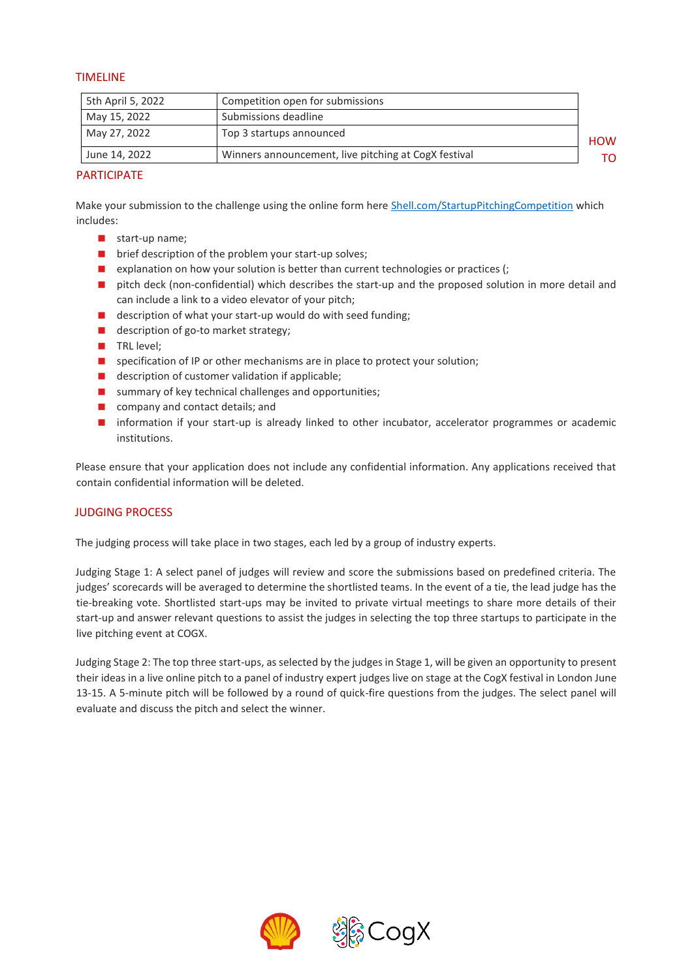## TIMELINE

| 5th April 5, 2022 | Competition open for submissions                     |            |
|-------------------|------------------------------------------------------|------------|
| May 15, 2022      | Submissions deadline                                 |            |
| May 27, 2022      | Top 3 startups announced                             | <b>HOW</b> |
| June 14, 2022     | Winners announcement, live pitching at CogX festival |            |

## **PARTICIPATE**

Make your submission to the challenge using the online form here [Shell.com/StartupPitchingCompetition](https://www.shell.com/energy-and-innovation/digitalisation/digital-and-ai-competitions/decarbonising-cities-pitching-competition.html?utm_source=website&utm_medium=email&utm_content=brochure&utm_campaign=crpt_startup_pitching_competition_q2_2022) which includes:

- start-up name;
- **D** brief description of the problem your start-up solves;
- **E** explanation on how your solution is better than current technologies or practices  $($ ;
- **n** pitch deck (non-confidential) which describes the start-up and the proposed solution in more detail and can include a link to a video elevator of your pitch;
- description of what your start-up would do with seed funding;
- description of go-to market strategy;
- TRL level;
- **E** specification of IP or other mechanisms are in place to protect your solution;
- description of customer validation if applicable;
- summary of key technical challenges and opportunities;
- **Company and contact details; and**
- **n** information if your start-up is already linked to other incubator, accelerator programmes or academic institutions.

Please ensure that your application does not include any confidential information. Any applications received that contain confidential information will be deleted.

## JUDGING PROCESS

The judging process will take place in two stages, each led by a group of industry experts.

Judging Stage 1: A select panel of judges will review and score the submissions based on predefined criteria. The judges' scorecards will be averaged to determine the shortlisted teams. In the event of a tie, the lead judge has the tie-breaking vote. Shortlisted start-ups may be invited to private virtual meetings to share more details of their start-up and answer relevant questions to assist the judges in selecting the top three startups to participate in the live pitching event at COGX.

Judging Stage 2: The top three start-ups, as selected by the judges in Stage 1, will be given an opportunity to present their ideas in a live online pitch to a panel of industry expert judges live on stage at the CogX festival in London June 13-15. A 5-minute pitch will be followed by a round of quick-fire questions from the judges. The select panel will evaluate and discuss the pitch and select the winner.

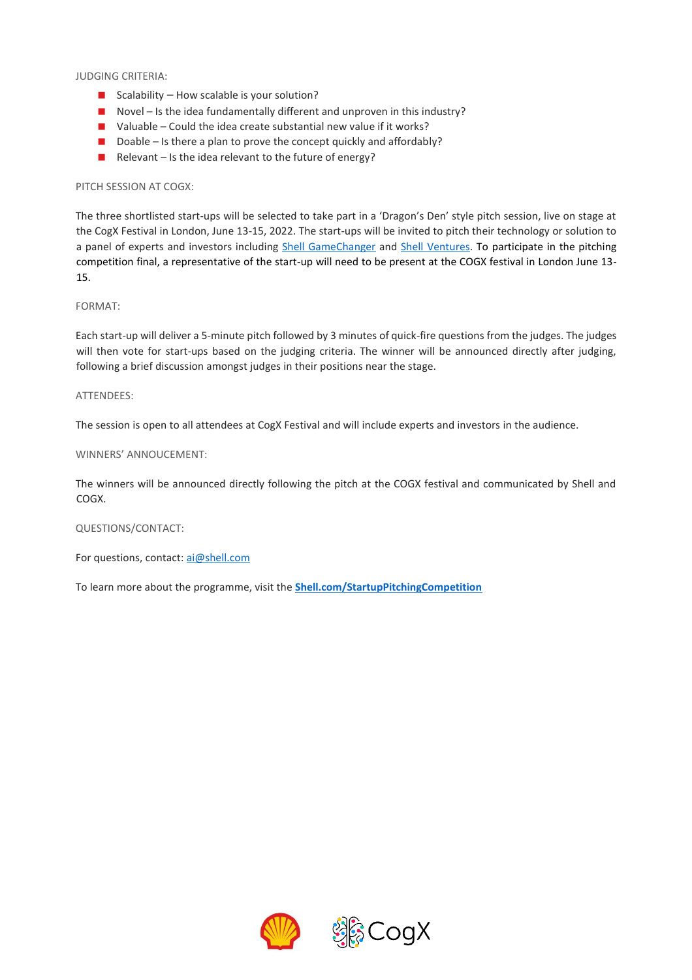JUDGING CRITERIA:

- Scalability How scalable is your solution?
- Novel Is the idea fundamentally different and unproven in this industry?
- $\blacksquare$  Valuable Could the idea create substantial new value if it works?
- Doable Is there a plan to prove the concept quickly and affordably?
- Relevant Is the idea relevant to the future of energy?

#### PITCH SESSION AT COGX:

The three shortlisted start-ups will be selected to take part in a 'Dragon's Den' style pitch session, live on stage at the CogX Festival in London, June 13-15, 2022. The start-ups will be invited to pitch their technology or solution to a panel of experts and investors including [Shell GameChanger](https://www.shell.com/energy-and-innovation/entrepreneurs-and-start-ups/shell-gamechanger.html) and Shell [Ventures.](https://www.shell.com/energy-and-innovation/new-energies/shell-ventures.html) To participate in the pitching competition final, a representative of the start-up will need to be present at the COGX festival in London June 13- 15.

#### FORMAT:

Each start-up will deliver a 5-minute pitch followed by 3 minutes of quick-fire questions from the judges. The judges will then vote for start-ups based on the judging criteria. The winner will be announced directly after judging, following a brief discussion amongst judges in their positions near the stage.

#### ATTENDEES:

The session is open to all attendees at CogX Festival and will include experts and investors in the audience.

#### WINNERS' ANNOUCEMENT:

The winners will be announced directly following the pitch at the COGX festival and communicated by Shell and COGX.

#### QUESTIONS/CONTACT:

For questions, contact[: ai@shell.com](mailto:ai@shell.com?subject=Decarbonising%20Cities%20Pitching%20Competition)

To learn more about the programme, visit the **[Shell.com/StartupPitchingCompetition](https://www.shell.com/energy-and-innovation/digitalisation/digital-and-ai-competitions/decarbonising-cities-pitching-competition.html?utm_source=website&utm_medium=email&utm_content=brochure&utm_campaign=crpt_startup_pitching_competition_q2_2022)**